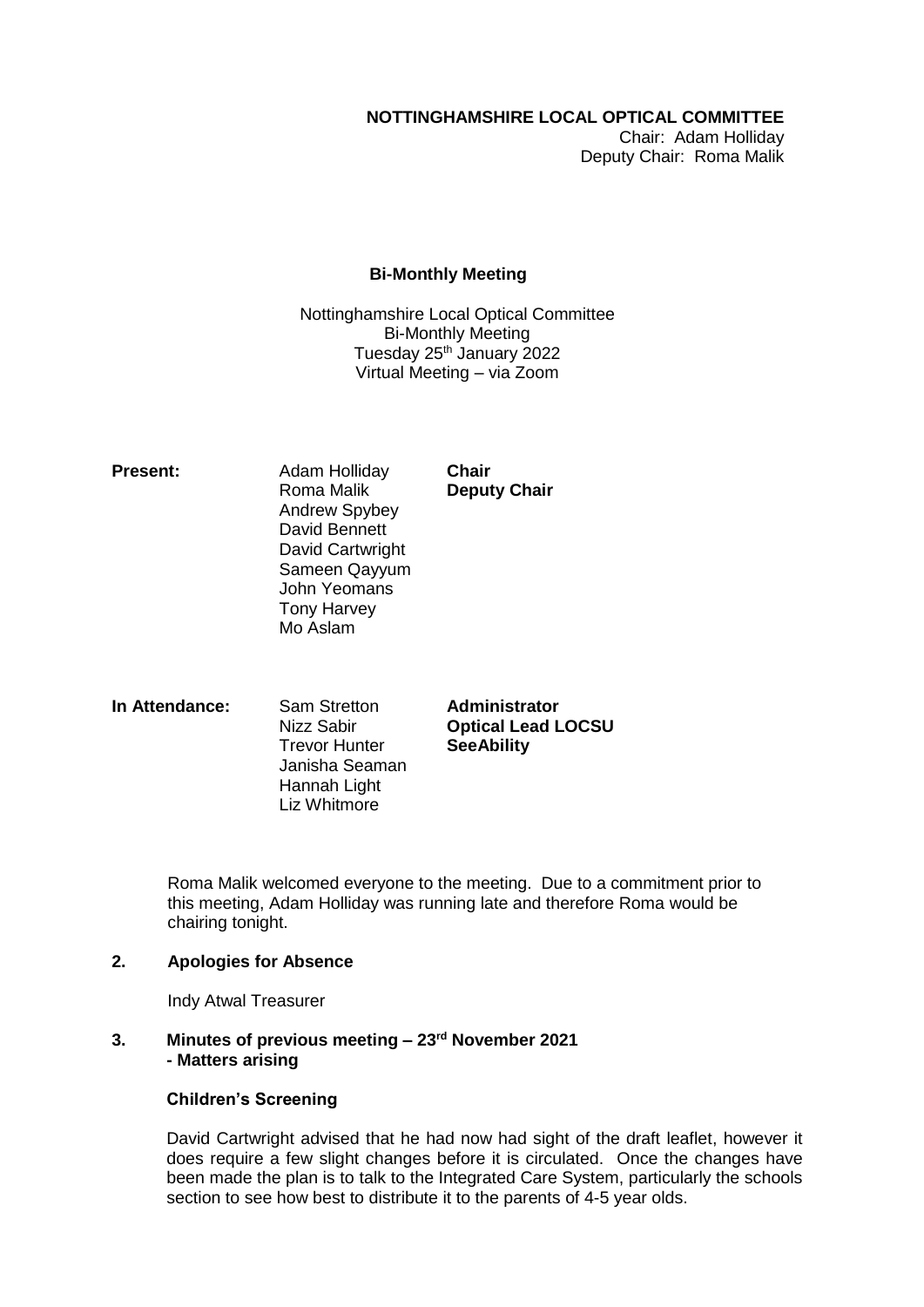# **NOTTINGHAMSHIRE LOCAL OPTICAL COMMITTEE**

Chair: Adam Holliday Deputy Chair: Roma Malik

## **Bi-Monthly Meeting**

Nottinghamshire Local Optical Committee Bi-Monthly Meeting Tuesday 25<sup>th</sup> January 2022 Virtual Meeting – via Zoom

**Present:** Adam Holliday **Chair** Roma Malik **Deputy Chair** Andrew Spybey David Bennett David Cartwright Sameen Qayyum John Yeomans Tony Harvey Mo Aslam

**In Attendance:** Sam Stretton **Administrator** Trevor Hunter **SeeAbility** Janisha Seaman Hannah Light Liz Whitmore

Nizz Sabir **Optical Lead LOCSU**

Roma Malik welcomed everyone to the meeting. Due to a commitment prior to this meeting, Adam Holliday was running late and therefore Roma would be chairing tonight.

# **2. Apologies for Absence**

Indy Atwal Treasurer

**3. Minutes of previous meeting – 23rd November 2021 - Matters arising**

# **Children's Screening**

David Cartwright advised that he had now had sight of the draft leaflet, however it does require a few slight changes before it is circulated. Once the changes have been made the plan is to talk to the Integrated Care System, particularly the schools section to see how best to distribute it to the parents of 4-5 year olds.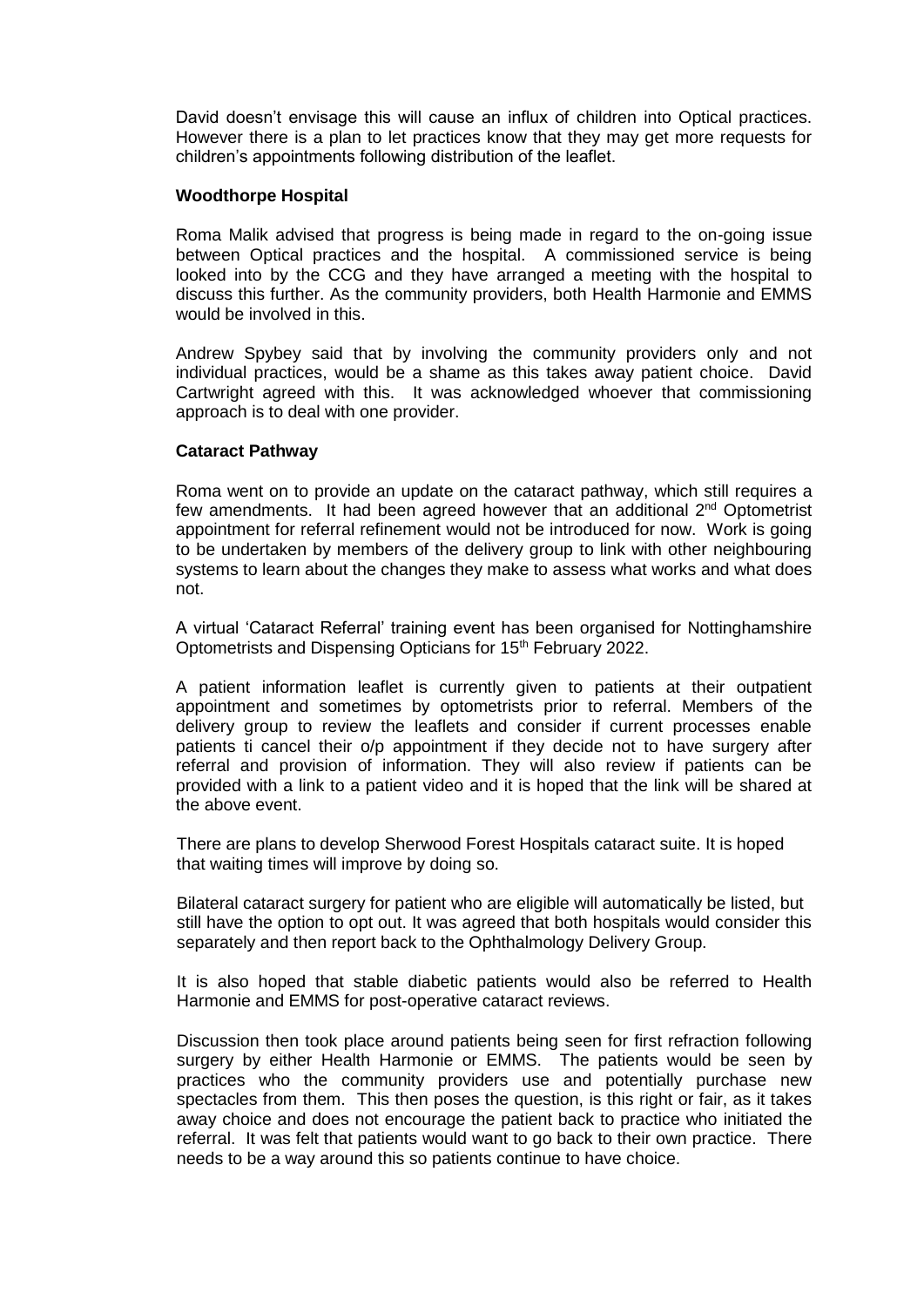David doesn't envisage this will cause an influx of children into Optical practices. However there is a plan to let practices know that they may get more requests for children's appointments following distribution of the leaflet.

## **Woodthorpe Hospital**

Roma Malik advised that progress is being made in regard to the on-going issue between Optical practices and the hospital. A commissioned service is being looked into by the CCG and they have arranged a meeting with the hospital to discuss this further. As the community providers, both Health Harmonie and EMMS would be involved in this.

Andrew Spybey said that by involving the community providers only and not individual practices, would be a shame as this takes away patient choice. David Cartwright agreed with this. It was acknowledged whoever that commissioning approach is to deal with one provider.

## **Cataract Pathway**

Roma went on to provide an update on the cataract pathway, which still requires a few amendments. It had been agreed however that an additional 2nd Optometrist appointment for referral refinement would not be introduced for now. Work is going to be undertaken by members of the delivery group to link with other neighbouring systems to learn about the changes they make to assess what works and what does not.

A virtual 'Cataract Referral' training event has been organised for Nottinghamshire Optometrists and Dispensing Opticians for 15<sup>th</sup> February 2022.

A patient information leaflet is currently given to patients at their outpatient appointment and sometimes by optometrists prior to referral. Members of the delivery group to review the leaflets and consider if current processes enable patients ti cancel their o/p appointment if they decide not to have surgery after referral and provision of information. They will also review if patients can be provided with a link to a patient video and it is hoped that the link will be shared at the above event.

There are plans to develop Sherwood Forest Hospitals cataract suite. It is hoped that waiting times will improve by doing so.

Bilateral cataract surgery for patient who are eligible will automatically be listed, but still have the option to opt out. It was agreed that both hospitals would consider this separately and then report back to the Ophthalmology Delivery Group.

It is also hoped that stable diabetic patients would also be referred to Health Harmonie and EMMS for post-operative cataract reviews.

Discussion then took place around patients being seen for first refraction following surgery by either Health Harmonie or EMMS. The patients would be seen by practices who the community providers use and potentially purchase new spectacles from them. This then poses the question, is this right or fair, as it takes away choice and does not encourage the patient back to practice who initiated the referral. It was felt that patients would want to go back to their own practice. There needs to be a way around this so patients continue to have choice.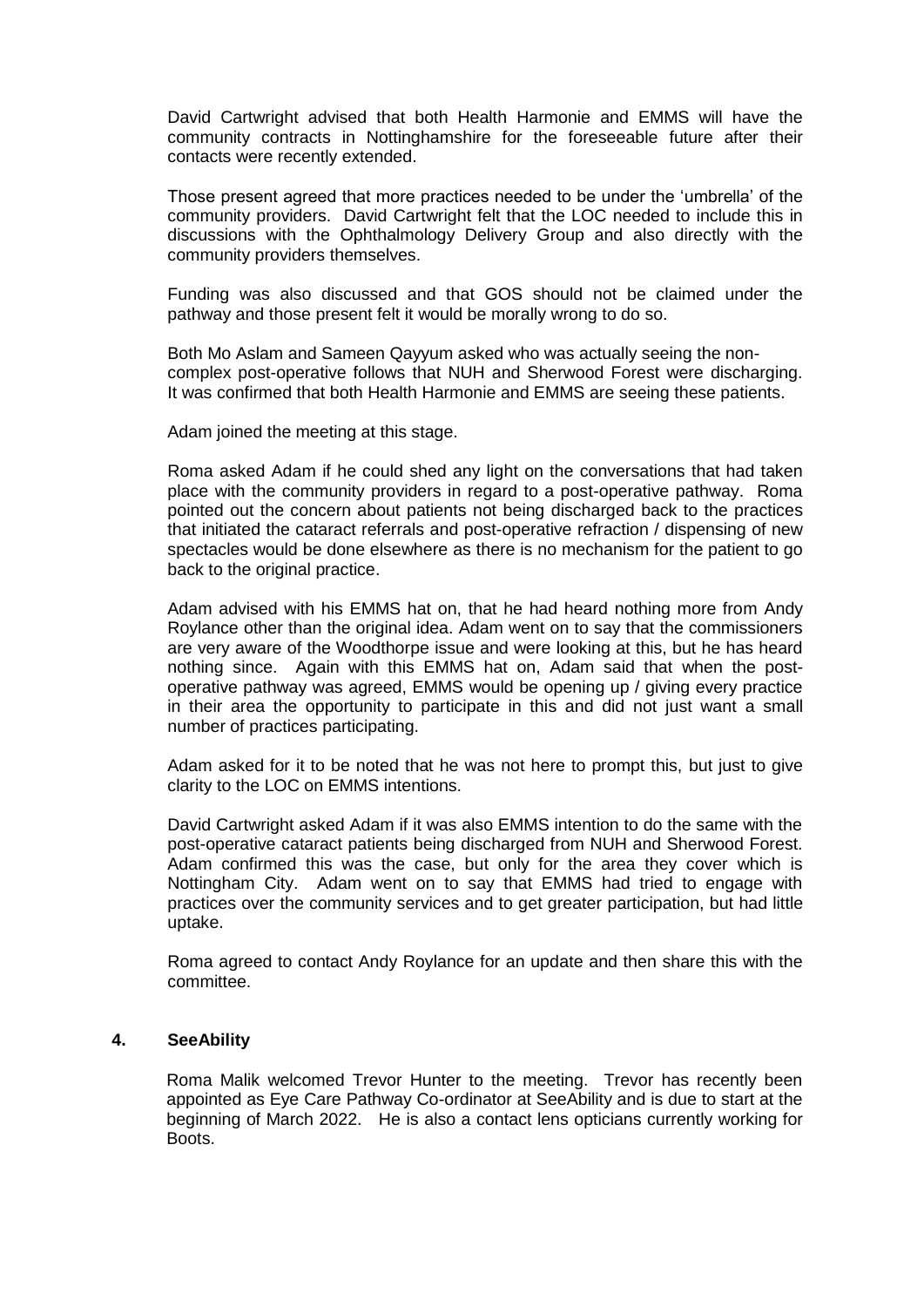David Cartwright advised that both Health Harmonie and EMMS will have the community contracts in Nottinghamshire for the foreseeable future after their contacts were recently extended.

Those present agreed that more practices needed to be under the 'umbrella' of the community providers. David Cartwright felt that the LOC needed to include this in discussions with the Ophthalmology Delivery Group and also directly with the community providers themselves.

Funding was also discussed and that GOS should not be claimed under the pathway and those present felt it would be morally wrong to do so.

Both Mo Aslam and Sameen Qayyum asked who was actually seeing the noncomplex post-operative follows that NUH and Sherwood Forest were discharging. It was confirmed that both Health Harmonie and EMMS are seeing these patients.

Adam joined the meeting at this stage.

Roma asked Adam if he could shed any light on the conversations that had taken place with the community providers in regard to a post-operative pathway. Roma pointed out the concern about patients not being discharged back to the practices that initiated the cataract referrals and post-operative refraction / dispensing of new spectacles would be done elsewhere as there is no mechanism for the patient to go back to the original practice.

Adam advised with his EMMS hat on, that he had heard nothing more from Andy Roylance other than the original idea. Adam went on to say that the commissioners are very aware of the Woodthorpe issue and were looking at this, but he has heard nothing since. Again with this EMMS hat on, Adam said that when the postoperative pathway was agreed, EMMS would be opening up / giving every practice in their area the opportunity to participate in this and did not just want a small number of practices participating.

Adam asked for it to be noted that he was not here to prompt this, but just to give clarity to the LOC on EMMS intentions.

David Cartwright asked Adam if it was also EMMS intention to do the same with the post-operative cataract patients being discharged from NUH and Sherwood Forest. Adam confirmed this was the case, but only for the area they cover which is Nottingham City. Adam went on to say that EMMS had tried to engage with practices over the community services and to get greater participation, but had little uptake.

Roma agreed to contact Andy Roylance for an update and then share this with the committee.

#### **4. SeeAbility**

Roma Malik welcomed Trevor Hunter to the meeting. Trevor has recently been appointed as Eye Care Pathway Co-ordinator at SeeAbility and is due to start at the beginning of March 2022. He is also a contact lens opticians currently working for Boots.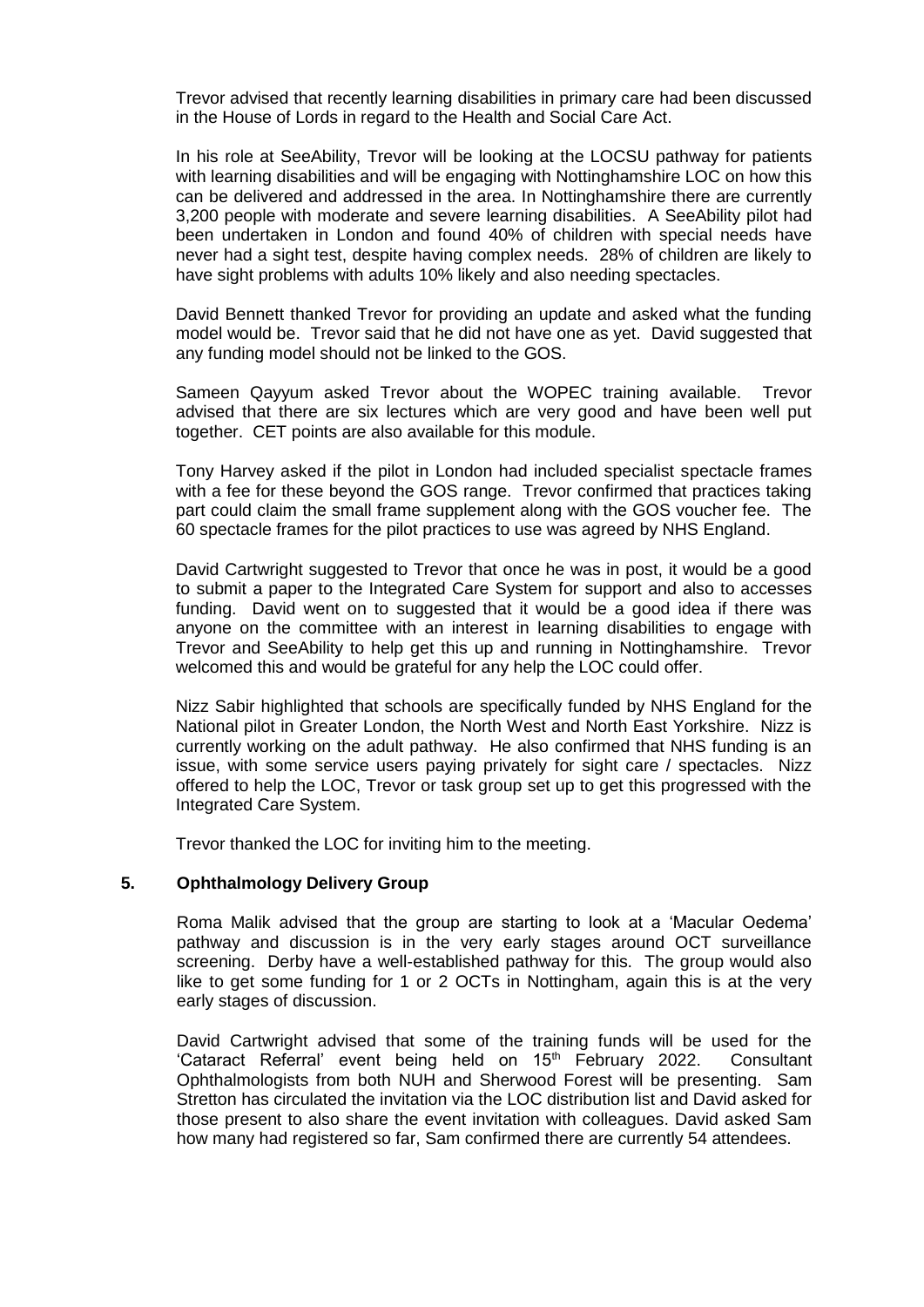Trevor advised that recently learning disabilities in primary care had been discussed in the House of Lords in regard to the Health and Social Care Act.

In his role at SeeAbility, Trevor will be looking at the LOCSU pathway for patients with learning disabilities and will be engaging with Nottinghamshire LOC on how this can be delivered and addressed in the area. In Nottinghamshire there are currently 3,200 people with moderate and severe learning disabilities. A SeeAbility pilot had been undertaken in London and found 40% of children with special needs have never had a sight test, despite having complex needs. 28% of children are likely to have sight problems with adults 10% likely and also needing spectacles.

David Bennett thanked Trevor for providing an update and asked what the funding model would be. Trevor said that he did not have one as yet. David suggested that any funding model should not be linked to the GOS.

Sameen Qayyum asked Trevor about the WOPEC training available. Trevor advised that there are six lectures which are very good and have been well put together. CET points are also available for this module.

Tony Harvey asked if the pilot in London had included specialist spectacle frames with a fee for these beyond the GOS range. Trevor confirmed that practices taking part could claim the small frame supplement along with the GOS voucher fee. The 60 spectacle frames for the pilot practices to use was agreed by NHS England.

David Cartwright suggested to Trevor that once he was in post, it would be a good to submit a paper to the Integrated Care System for support and also to accesses funding. David went on to suggested that it would be a good idea if there was anyone on the committee with an interest in learning disabilities to engage with Trevor and SeeAbility to help get this up and running in Nottinghamshire. Trevor welcomed this and would be grateful for any help the LOC could offer.

Nizz Sabir highlighted that schools are specifically funded by NHS England for the National pilot in Greater London, the North West and North East Yorkshire. Nizz is currently working on the adult pathway. He also confirmed that NHS funding is an issue, with some service users paying privately for sight care / spectacles. Nizz offered to help the LOC, Trevor or task group set up to get this progressed with the Integrated Care System.

Trevor thanked the LOC for inviting him to the meeting.

#### **5. Ophthalmology Delivery Group**

Roma Malik advised that the group are starting to look at a 'Macular Oedema' pathway and discussion is in the very early stages around OCT surveillance screening. Derby have a well-established pathway for this. The group would also like to get some funding for 1 or 2 OCTs in Nottingham, again this is at the very early stages of discussion.

David Cartwright advised that some of the training funds will be used for the 'Cataract Referral' event being held on 15<sup>th</sup> February 2022. Consultant Ophthalmologists from both NUH and Sherwood Forest will be presenting. Sam Stretton has circulated the invitation via the LOC distribution list and David asked for those present to also share the event invitation with colleagues. David asked Sam how many had registered so far, Sam confirmed there are currently 54 attendees.